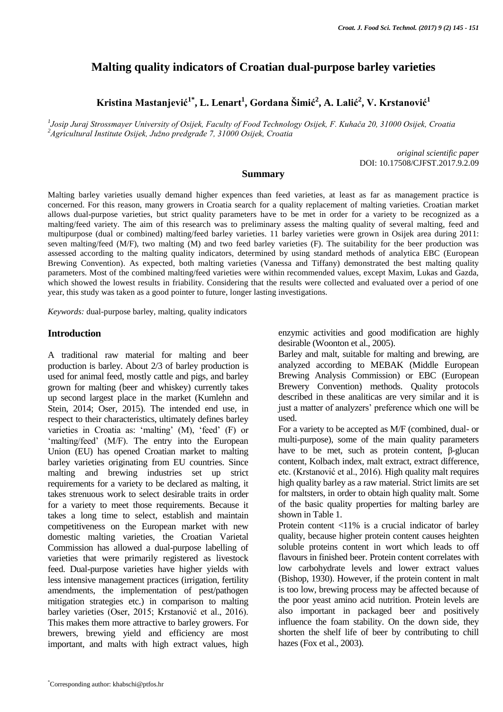# **Malting quality indicators of Croatian dual-purpose barley varieties**

**Kristina Mastanjević1\* , L. Lenart<sup>1</sup> , Gordana Šimić<sup>2</sup> , A. Lalić<sup>2</sup> , V. Krstanović<sup>1</sup>**

*1 Josip Juraj Strossmayer University of Osijek, Faculty of Food Technology Osijek, F. Kuhača 20, 31000 Osijek, Croatia <sup>2</sup>Agricultural Institute Osijek, Južno predgrađe 7, 31000 Osijek, Croatia*

> *original scientific paper* DOI: 10.17508/CJFST.2017.9.2.09

#### **Summary**

Malting barley varieties usually demand higher expences than feed varieties, at least as far as management practice is concerned. For this reason, many growers in Croatia search for a quality replacement of malting varieties. Croatian market allows dual-purpose varieties, but strict quality parameters have to be met in order for a variety to be recognized as a malting/feed variety. The aim of this research was to preliminary assess the malting quality of several malting, feed and multipurpose (dual or combined) malting/feed barley varieties. 11 barley varieties were grown in Osijek area during 2011: seven malting/feed (M/F), two malting (M) and two feed barley varieties (F). The suitability for the beer production was assessed according to the malting quality indicators, determined by using standard methods of analytica EBC (European Brewing Convention). As expected, both malting varieties (Vanessa and Tiffany) demonstrated the best malting quality parameters. Most of the combined malting/feed varieties were within recommended values, except Maxim, Lukas and Gazda, which showed the lowest results in friability. Considering that the results were collected and evaluated over a period of one year, this study was taken as a good pointer to future, longer lasting investigations.

*Keywords:* dual-purpose barley, malting, quality indicators

#### **Introduction**

A traditional raw material for malting and beer production is barley. About 2/3 of barley production is used for animal feed, mostly cattle and pigs, and barley grown for malting (beer and whiskey) currently takes up second largest place in the market (Kumlehn and Stein, 2014; Oser, 2015). The intended end use, in respect to their characteristics, ultimately defines barley varieties in Croatia as: 'malting' (M), 'feed' (F) or 'malting/feed' (M/F). The entry into the European Union (EU) has opened Croatian market to malting barley varieties originating from EU countries. Since malting and brewing industries set up strict requirements for a variety to be declared as malting, it takes strenuous work to select desirable traits in order for a variety to meet those requirements. Because it takes a long time to select, establish and maintain competitiveness on the European market with new domestic malting varieties, the Croatian Varietal Commission has allowed a dual-purpose labelling of varieties that were primarily registered as livestock feed. Dual-purpose varieties have higher yields with less intensive management practices (irrigation, fertility amendments, the implementation of pest/pathogen mitigation strategies etc.) in comparison to malting barley varieties (Oser, 2015; Krstanović et al., 2016). This makes them more attractive to barley growers. For brewers, brewing yield and efficiency are most important, and malts with high extract values, high

enzymic activities and good modification are highly desirable (Woonton et al., 2005).

Barley and malt, suitable for malting and brewing, are analyzed according to MEBAK (Middle European Brewing Analysis Commission) or EBC (European Brewery Convention) methods. Quality protocols described in these analiticas are very similar and it is just a matter of analyzers' preference which one will be used.

For a variety to be accepted as M/F (combined, dual- or multi-purpose), some of the main quality parameters have to be met, such as protein content, β-glucan content, Kolbach index, malt extract, extract difference, etc. (Krstanović et al., 2016). High quality malt requires high quality barley as a raw material. Strict limits are set for maltsters, in order to obtain high quality malt. Some of the basic quality properties for malting barley are shown in Table 1.

Protein content <11% is a crucial indicator of barley quality, because higher protein content causes heighten soluble proteins content in wort which leads to off flavours in finished beer. Protein content correlates with low carbohydrate levels and lower extract values (Bishop, 1930). However, if the protein content in malt is too low, brewing process may be affected because of the poor yeast amino acid nutrition. Protein levels are also important in packaged beer and positively influence the foam stability. On the down side, they shorten the shelf life of beer by contributing to chill hazes (Fox et al., 2003).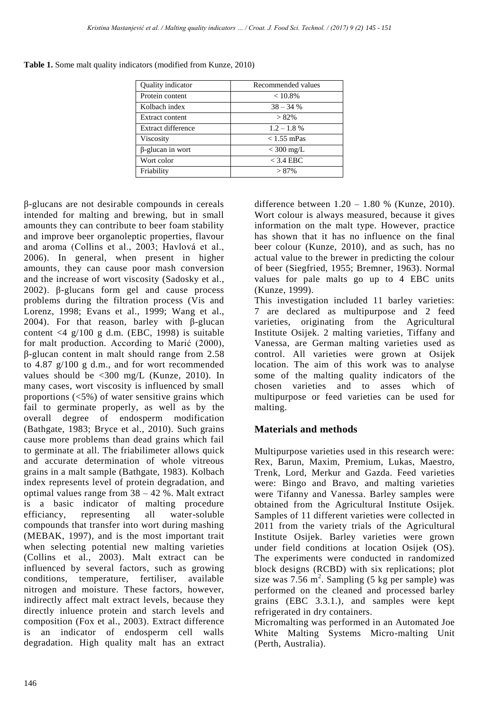| Quality indicator         | Recommended values |
|---------------------------|--------------------|
| Protein content           | $< 10.8\%$         |
| Kolbach index             | $38 - 34%$         |
| Extract content           | $> 82\%$           |
| <b>Extract difference</b> | $1.2 - 1.8\%$      |
| Viscosity                 | $< 1.55$ mPas      |
| $\beta$ -glucan in wort   | $<$ 300 mg/L       |
| Wort color                | $<$ 3.4 EBC        |
| Friability                | >87%               |

**Table 1.** Some malt quality indicators (modified from Kunze, 2010)

β-glucans are not desirable compounds in cereals intended for malting and brewing, but in small amounts they can contribute to beer foam stability and improve beer organoleptic properties, flavour and aroma (Collins et al., 2003; Havlová et al., 2006). In general, when present in higher amounts, they can cause poor mash conversion and the increase of wort viscosity (Sadosky et al., 2002). β-glucans form gel and cause process problems during the filtration process (Vis and Lorenz, 1998; Evans et al., 1999; Wang et al., 2004). For that reason, barley with β-glucan content <4 g/100 g d.m. (EBC, 1998) is suitable for malt production. According to Marić (2000), β-glucan content in malt should range from 2.58 to 4.87 g/100 g d.m., and for wort recommended values should be <300 mg/L (Kunze, 2010). In many cases, wort viscosity is influenced by small proportions  $\langle 5\% \rangle$  of water sensitive grains which fail to germinate properly, as well as by the overall degree of endosperm modification (Bathgate, 1983; Bryce et al., 2010). Such grains cause more problems than dead grains which fail to germinate at all. The friabilimeter allows quick and accurate determination of whole vitreous grains in a malt sample (Bathgate, 1983). Kolbach index represents level of protein degradation, and optimal values range from 38 – 42 %. Malt extract is a basic indicator of malting procedure efficiancy, representing all water-soluble compounds that transfer into wort during mashing (MEBAK, 1997), and is the most important trait when selecting potential new malting varieties (Collins et al., 2003). Malt extract can be influenced by several factors, such as growing conditions, temperature, fertiliser, available nitrogen and moisture. These factors, however, indirectly affect malt extract levels, because they directly inluence protein and starch levels and composition (Fox et al., 2003). Extract difference is an indicator of endosperm cell walls degradation. High quality malt has an extract

difference between  $1.20 - 1.80$  % (Kunze, 2010). Wort colour is always measured, because it gives information on the malt type. However, practice has shown that it has no influence on the final beer colour (Kunze, 2010), and as such, has no actual value to the brewer in predicting the colour of beer (Siegfried, 1955; Bremner, 1963). Normal values for pale malts go up to 4 EBC units (Kunze, 1999).

This investigation included 11 barley varieties: 7 are declared as multipurpose and 2 feed varieties, originating from the Agricultural Institute Osijek. 2 malting varieties, Tiffany and Vanessa, are German malting varieties used as control. All varieties were grown at Osijek location. The aim of this work was to analyse some of the malting quality indicators of the chosen varieties and to asses which of multipurpose or feed varieties can be used for malting.

## **Materials and methods**

Multipurpose varieties used in this research were: Rex, Barun, Maxim, Premium, Lukas, Maestro, Trenk, Lord, Merkur and Gazda. Feed varieties were: Bingo and Bravo, and malting varieties were Tifanny and Vanessa. Barley samples were obtained from the Agricultural Institute Osijek. Samples of 11 different varieties were collected in 2011 from the variety trials of the Agricultural Institute Osijek. Barley varieties were grown under field conditions at location Osijek (OS). The experiments were conducted in randomized block designs (RCBD) with six replications; plot size was  $7.56$  m<sup>2</sup>. Sampling (5 kg per sample) was performed on the cleaned and processed barley grains (EBC 3.3.1.), and samples were kept refrigerated in dry containers.

Micromalting was performed in an Automated Joe White Malting Systems Micro-malting Unit (Perth, Australia).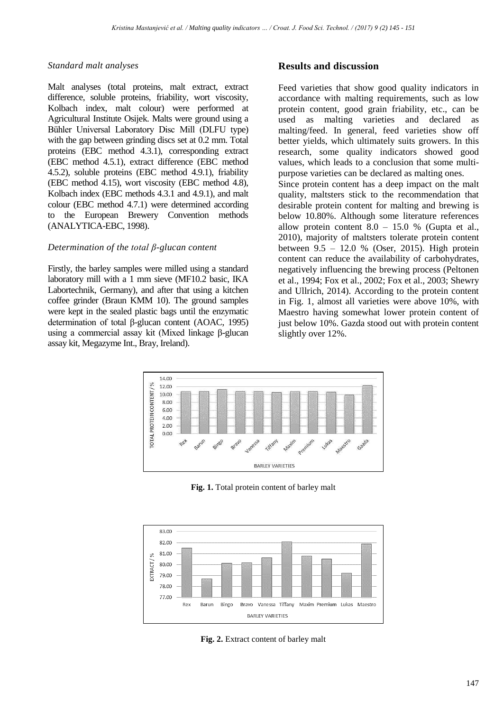#### *Standard malt analyses*

Malt analyses (total proteins, malt extract, extract difference, soluble proteins, friability, wort viscosity, Kolbach index, malt colour) were performed at Agricultural Institute Osijek. Malts were ground using a Bühler Universal Laboratory Disc Mill (DLFU type) with the gap between grinding discs set at 0.2 mm. Total proteins (EBC method 4.3.1), corresponding extract (EBC method 4.5.1), extract difference (EBC method 4.5.2), soluble proteins (EBC method 4.9.1), friability (EBC method 4.15), wort viscosity (EBC method 4.8), Kolbach index (EBC methods 4.3.1 and 4.9.1), and malt colour (EBC method 4.7.1) were determined according to the European Brewery Convention methods (ANALYTICA-EBC, 1998).

#### *Determination of the total β-glucan content*

Firstly, the barley samples were milled using a standard laboratory mill with a 1 mm sieve (MF10.2 basic, IKA Labortechnik, Germany), and after that using a kitchen coffee grinder (Braun KMM 10). The ground samples were kept in the sealed plastic bags until the enzymatic determination of total β-glucan content (AOAC, 1995) using a commercial assay kit (Mixed linkage β-glucan assay kit, Megazyme Int., Bray, Ireland).

## **Results and discussion**

Feed varieties that show good quality indicators in accordance with malting requirements, such as low protein content, good grain friability, etc., can be used as malting varieties and declared as malting/feed. In general, feed varieties show off better yields, which ultimately suits growers. In this research, some quality indicators showed good values, which leads to a conclusion that some multipurpose varieties can be declared as malting ones. Since protein content has a deep impact on the malt quality, maltsters stick to the recommendation that desirable protein content for malting and brewing is below 10.80%. Although some literature references allow protein content  $8.0 - 15.0$  % (Gupta et al., 2010), majority of maltsters tolerate protein content between 9.5 – 12.0 % (Oser, 2015). High protein content can reduce the availability of carbohydrates, negatively influencing the brewing process (Peltonen et al., 1994; Fox et al., 2002; Fox et al., 2003; Shewry and Ullrich, 2014). According to the protein content in Fig. 1, almost all varieties were above 10%, with

Maestro having somewhat lower protein content of just below 10%. Gazda stood out with protein content



slightly over 12%.

**Fig. 1.** Total protein content of barley malt



**Fig. 2.** Extract content of barley malt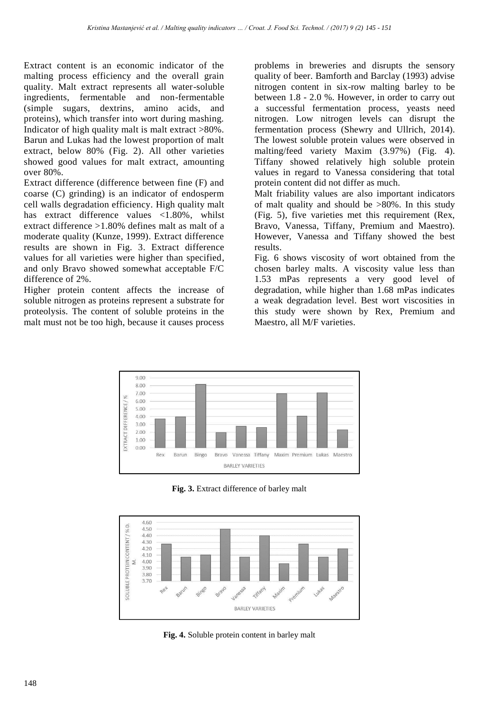Extract content is an economic indicator of the malting process efficiency and the overall grain quality. Malt extract represents all water-soluble ingredients, fermentable and non-fermentable (simple sugars, dextrins, amino acids, and proteins), which transfer into wort during mashing. Indicator of high quality malt is malt extract >80%. Barun and Lukas had the lowest proportion of malt extract, below 80% (Fig. 2). All other varieties showed good values for malt extract, amounting over 80%.

Extract difference (difference between fine (F) and coarse (C) grinding) is an indicator of endosperm cell walls degradation efficiency. High quality malt has extract difference values <1.80%, whilst extract difference >1.80% defines malt as malt of a moderate quality (Kunze, 1999). Extract difference results are shown in Fig. 3. Extract difference values for all varieties were higher than specified, and only Bravo showed somewhat acceptable F/C difference of 2%.

Higher protein content affects the increase of soluble nitrogen as proteins represent a substrate for proteolysis. The content of soluble proteins in the malt must not be too high, because it causes process problems in breweries and disrupts the sensory quality of beer. Bamforth and Barclay (1993) advise nitrogen content in six-row malting barley to be between 1.8 - 2.0 %. However, in order to carry out a successful fermentation process, yeasts need nitrogen. Low nitrogen levels can disrupt the fermentation process (Shewry and Ullrich, 2014). The lowest soluble protein values were observed in malting/feed variety Maxim (3.97%) (Fig. 4). Tiffany showed relatively high soluble protein values in regard to Vanessa considering that total protein content did not differ as much.

Malt friability values are also important indicators of malt quality and should be  $>80\%$ . In this study (Fig. 5), five varieties met this requirement (Rex, Bravo, Vanessa, Tiffany, Premium and Maestro). However, Vanessa and Tiffany showed the best results.

Fig. 6 shows viscosity of wort obtained from the chosen barley malts. A viscosity value less than 1.53 mPas represents a very good level of degradation, while higher than 1.68 mPas indicates a weak degradation level. Best wort viscosities in this study were shown by Rex, Premium and Maestro, all M/F varieties.



**Fig. 3.** Extract difference of barley malt



**Fig. 4.** Soluble protein content in barley malt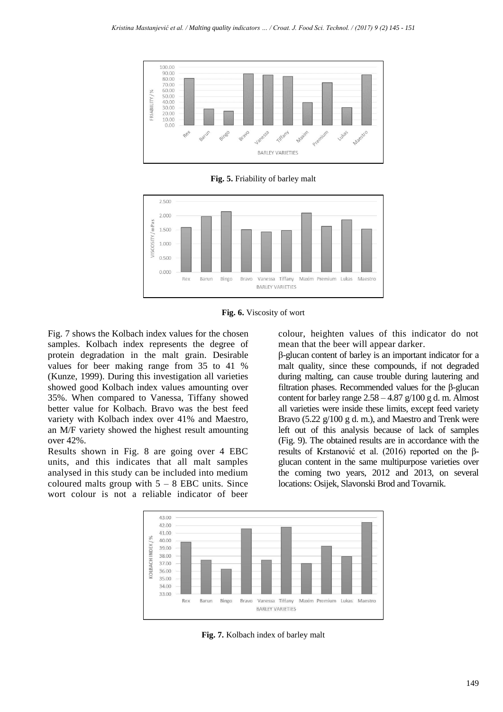

**Fig. 5.** Friability of barley malt





Fig. 7 shows the Kolbach index values for the chosen samples. Kolbach index represents the degree of protein degradation in the malt grain. Desirable values for beer making range from 35 to 41 % (Kunze, 1999). During this investigation all varieties showed good Kolbach index values amounting over 35%. When compared to Vanessa, Tiffany showed better value for Kolbach. Bravo was the best feed variety with Kolbach index over 41% and Maestro, an M/F variety showed the highest result amounting over 42%.

Results shown in Fig. 8 are going over 4 EBC units, and this indicates that all malt samples analysed in this study can be included into medium coloured malts group with  $5 - 8$  EBC units. Since wort colour is not a reliable indicator of beer colour, heighten values of this indicator do not mean that the beer will appear darker.

β-glucan content of barley is an important indicator for a malt quality, since these compounds, if not degraded during malting, can cause trouble during lautering and filtration phases. Recommended values for the β-glucan content for barley range  $2.58 - 4.87$  g/100 g d. m. Almost all varieties were inside these limits, except feed variety Bravo (5.22 g/100 g d. m.), and Maestro and Trenk were left out of this analysis because of lack of samples (Fig. 9). The obtained results are in accordance with the results of Krstanović et al. (2016) reported on the βglucan content in the same multipurpose varieties over the coming two years, 2012 and 2013, on several locations: Osijek, Slavonski Brod and Tovarnik.



**Fig. 7.** Kolbach index of barley malt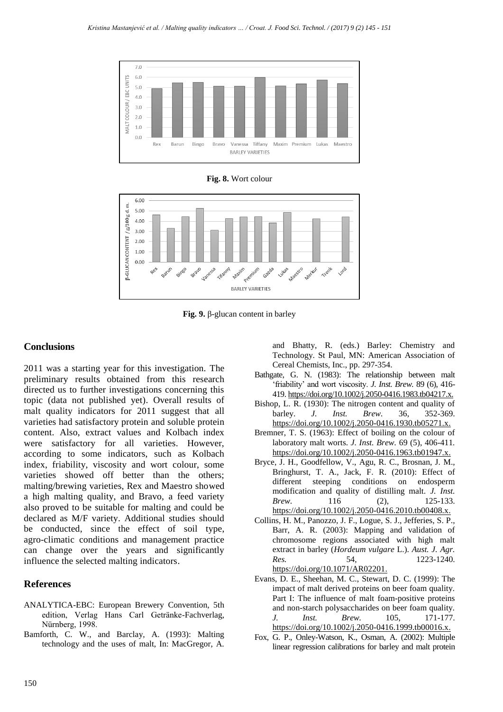

**Fig. 8.** Wort colour



**Fig. 9.** β-glucan content in barley

## **Conclusions**

2011 was a starting year for this investigation. The preliminary results obtained from this research directed us to further investigations concerning this topic (data not published yet). Overall results of malt quality indicators for 2011 suggest that all varieties had satisfactory protein and soluble protein content. Also, extract values and Kolbach index were satisfactory for all varieties. However, according to some indicators, such as Kolbach index, friability, viscosity and wort colour, some varieties showed off better than the others; malting/brewing varieties, Rex and Maestro showed a high malting quality, and Bravo, a feed variety also proved to be suitable for malting and could be declared as M/F variety. Additional studies should be conducted, since the effect of soil type, agro-climatic conditions and management practice can change over the years and significantly influence the selected malting indicators.

#### **References**

- ANALYTICA-EBC: European Brewery Convention, 5th edition, Verlag Hans Carl Getränke-Fachverlag, Nürnberg, 1998.
- Bamforth, C. W., and Barclay, A. (1993): Malting technology and the uses of malt, In: MacGregor, A.

and Bhatty, R. (eds.) Barley: Chemistry and Technology. St Paul, MN: American Association of Cereal Chemists, Inc., pp. 297-354.

- Bathgate, G. N. (1983): The relationship between malt 'friability' and wort viscosity. *J. Inst. Brew.* 89 (6), 416- 419[. https://doi.org/10.1002/j.2050-0416.1983.tb04217.x.](https://doi.org/10.1002/j.2050-0416.1983.tb04217.x)
- Bishop, L. R. (1930): The nitrogen content and quality of barley. *J. Inst. Brew.* 36, 352-369. [https://doi.org/10.1002/j.2050-0416.1930.tb05271.x.](https://doi.org/10.1002/j.2050-0416.1930.tb05271.x)
- Bremner, T. S. (1963): Effect of boiling on the colour of laboratory malt worts. *J. Inst. Brew.* 69 (5), 406-411*.*  [https://doi.org/10.1002/j.2050-0416.1963.tb01947.x.](https://doi.org/10.1002/j.2050-0416.1963.tb01947.x)
- Bryce, J. H., Goodfellow, V., Agu, R. C., Brosnan, J. M., Bringhurst, T. A., Jack, F. R. (2010): Effect of different steeping conditions on endosperm modification and quality of distilling malt. *J. Inst. Brew.* 116 (2), 125-133. [https://doi.org/10.1002/j.2050-0416.2010.tb00408.x.](https://doi.org/10.1002/j.2050-0416.2010.tb00408.x)
- Collins, H. M., Panozzo, J. F., Logue, S. J., Jefferies, S. P., Barr, A. R. (2003): Mapping and validation of chromosome regions associated with high malt extract in barley (*Hordeum vulgare* L.). *Aust. J. Agr. Res.* 54, 1223-1240. [https://doi.org/10.1071/AR02201.](https://doi.org/10.1071/AR02201)
- Evans, D. E., Sheehan, M. C., Stewart, D. C. (1999): The impact of malt derived proteins on beer foam quality. Part I: The influence of malt foam-positive proteins and non-starch polysaccharides on beer foam quality. *J. Inst. Brew.* 105, 171-177. [https://doi.org/10.1002/j.2050-0416.1999.tb00016.x.](https://doi.org/10.1002/j.2050-0416.1999.tb00016.x)
- Fox, G. P., Onley-Watson, K., Osman, A. (2002): Multiple linear regression calibrations for barley and malt protein